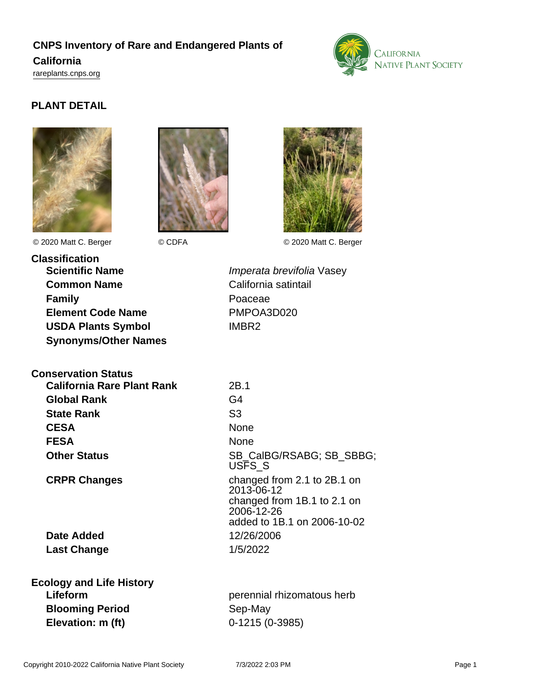# **CNPS Inventory of Rare and Endangered Plants of California**

<rareplants.cnps.org>



## **PLANT DETAIL**







© 2020 Matt C. Berger © CDFA © 2020 Matt C. Berger

**Classification Scientific Name Imperata brevifolia Vasey Common Name** California satintail **Family** Poaceae **Element Code Name** PMPOA3D020 **USDA Plants Symbol** IMBR2 **Synonyms/Other Names**

## **Conservation Status**

| <b>California Rare Plant Rank</b> | 2B.1            |
|-----------------------------------|-----------------|
| <b>Global Rank</b>                | G4              |
| <b>State Rank</b>                 | S <sub>3</sub>  |
| <b>CESA</b>                       | None            |
| <b>FESA</b>                       | None            |
| <b>Other Status</b>               | SB <sub>C</sub> |

**Date Added** 12/26/2006 **Last Change** 1/5/2022

**CESA** None SB\_CalBG/RSABG; SB\_SBBG; USFS\_S **CRPR Changes** changed from 2.1 to 2B.1 on 2013-06-12 changed from 1B.1 to 2.1 on 2006-12-26 added to 1B.1 on 2006-10-02

| <b>Ecology and Life History</b> |                            |
|---------------------------------|----------------------------|
| Lifeform                        | perennial rhizomatous herb |
| <b>Blooming Period</b>          | Sep-May                    |
| Elevation: m (ft)               | $0-1215(0-3985)$           |
|                                 |                            |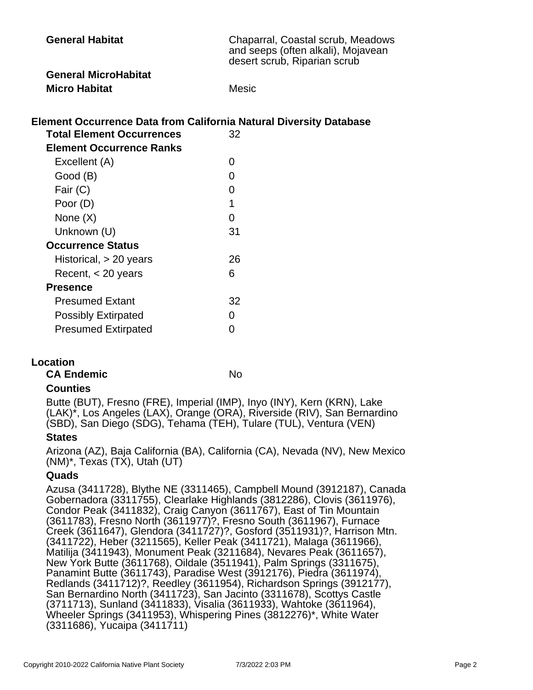| <b>General Habitat</b>      | Chaparral, Coastal scrub, Meadows<br>and seeps (often alkali), Mojavean<br>desert scrub, Riparian scrub |
|-----------------------------|---------------------------------------------------------------------------------------------------------|
| <b>General MicroHabitat</b> |                                                                                                         |
| <b>Micro Habitat</b>        | <b>Mesic</b>                                                                                            |

## **Element Occurrence Data from California Natural Diversity Database**

| <b>Total Element Occurrences</b> | 32 |
|----------------------------------|----|
| Element Occurrence Ranks         |    |
| Excellent (A)                    | 0  |
| Good (B)                         | O  |
| Fair (C)                         | 0  |
| Poor (D)                         | 1  |
| None $(X)$                       | O  |
| Unknown (U)                      | 31 |
| <b>Occurrence Status</b>         |    |
| Historical, > 20 years           | 26 |
| Recent, $<$ 20 years             | 6  |
| <b>Presence</b>                  |    |
| <b>Presumed Extant</b>           | 32 |
| <b>Possibly Extirpated</b>       | O  |
| <b>Presumed Extirpated</b>       | N  |

#### **Location**

**CA Endemic** No

#### **Counties**

Butte (BUT), Fresno (FRE), Imperial (IMP), Inyo (INY), Kern (KRN), Lake (LAK)\*, Los Angeles (LAX), Orange (ORA), Riverside (RIV), San Bernardino (SBD), San Diego (SDG), Tehama (TEH), Tulare (TUL), Ventura (VEN)

#### **States**

Arizona (AZ), Baja California (BA), California (CA), Nevada (NV), New Mexico (NM)\*, Texas (TX), Utah (UT)

#### **Quads**

Azusa (3411728), Blythe NE (3311465), Campbell Mound (3912187), Canada Gobernadora (3311755), Clearlake Highlands (3812286), Clovis (3611976), Condor Peak (3411832), Craig Canyon (3611767), East of Tin Mountain (3611783), Fresno North (3611977)?, Fresno South (3611967), Furnace Creek (3611647), Glendora (3411727)?, Gosford (3511931)?, Harrison Mtn. (3411722), Heber (3211565), Keller Peak (3411721), Malaga (3611966), Matilija (3411943), Monument Peak (3211684), Nevares Peak (3611657), New York Butte (3611768), Oildale (3511941), Palm Springs (3311675), Panamint Butte (3611743), Paradise West (3912176), Piedra (3611974), Redlands (3411712)?, Reedley (3611954), Richardson Springs (3912177), San Bernardino North (3411723), San Jacinto (3311678), Scottys Castle (3711713), Sunland (3411833), Visalia (3611933), Wahtoke (3611964), Wheeler Springs (3411953), Whispering Pines (3812276)\*, White Water (3311686), Yucaipa (3411711)